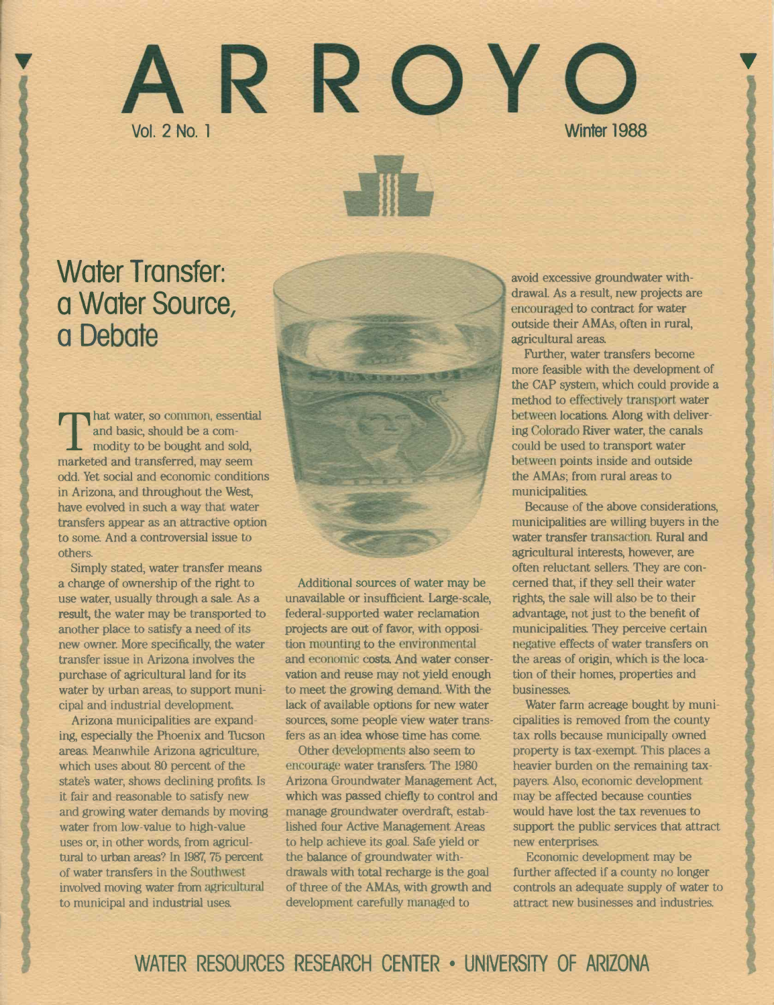# ARROY Winter 1988

# Water Transfer: a Water Source, a Debate

and basic, should be a com-<br>modity to be bought and sold, hat water, so common, essential and basic, should be a commarketed and transferred, may seem odd. Yet social and economic conditions in Arizona, and throughout the West, have evolved in such a way that water transfers appear as an attractive option to soma And a controversial issue to others.

Simply stated, water transfer means a change of ownership of the right to use water, usually through a sale. As a result, the water may be transported to another place to satisfy a need of its new owner. More specifically, the water transfer issue in Arizona involves the purchase of agricultural land for its water by urban areas, to support municipal and industrial development.

Arizona municipalities are expanding, especially the Phoenix and Thcson areas Meanwhile Arizona agriculture, which uses about 80 percent of the state's water, shows declining profits. Is it fair and reasonable to satisfy new and growing water demands by moving water from low-value to high-value uses or, in other words, from agricultural to urban areas? In 1987, 75 percent of water transfers in the Southwest involved moving water from agricultural to municipal and industrial uses.

Additional sources of water may be unavailable or insufficient. Large-scale, federal-supported water reclamation projects are out of favor, with opposition mounting to the environmental and economic costs. And water conservation and reuse may not yield enough to meet the growing demand. With the lack of available options for new water sources, some people view water transfers as an idea whose time has come.

Other developments also seem to encourage water transfers. The 1980 Arizona Groundwater Management Act, which was passed chiefly to control and manage groundwater overdraft, established four Active Management Areas to help achieve its goal. Safe yield or the balance of groundwater withdrawals with total recharge is the goal of three of the AMAs, with growth and development carefully managed to

avoid excessive groundwater withdrawal. As a result, new projects are encouraged to contract for water outside their AMAs, often in rural, agricultural areas.

Further, water transfers become more feasible with the development of the CAP system, which could provide a method to effectively transport water between locations. Along with delivering Colorado River water, the canals could be used to transport water between points inside and outside the AMAs; from rural areas to municipalities.

Because of the above considerations, municipalities are willing buyers in the water transfer transaction. Rural and agricultural interests, however, are often reluctant sellers. They are concerned that, if they sell their water rights, the sale will also be to their advantage, not just to the benefit of municipalities. They perceive certain negative effects of water transfers on the areas of origin, which is the location of their homes, properties and businesses.

Water farm acreage bought by municipalities is removed from the county tax rolls because municipally owned property is tax-exempt. This places a heavier burden on the remaining taxpayers. Also, economic development may be affected because counties would have lost the tax revenues to support the public services that attract new enterprises.

Economic development may be further affected if a county no longer controls an adequate supply of water to attract new businesses and industries.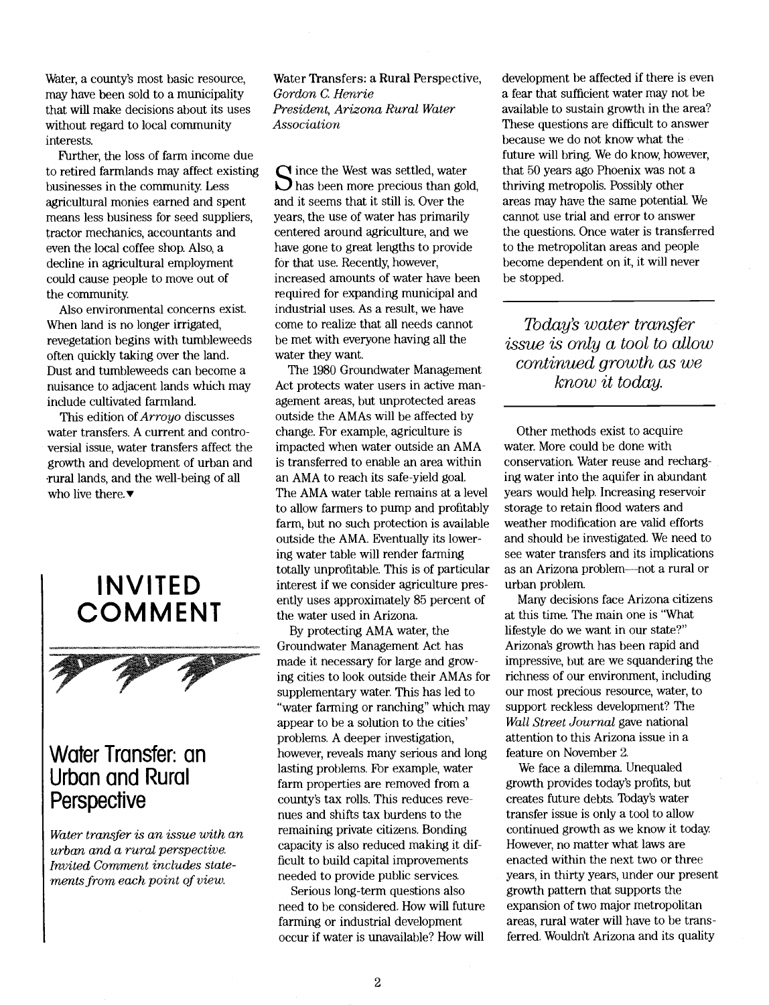Water, a county's most basic resource, may have been sold to a municipality that will make decisions about its uses without regard to local community interests.

Further, the loss of farm income due to retired farmlands may affect existing businesses in the community. Less agricultural monies earned and spent means less business for seed suppliers, tractor mechanics, accountants and even the local coffee shop. Also, a decline in agricultural employment could cause people to move out of the community.

Also environmental concerns exist. When land is no longer irrigated, revegetation begins with turnbleweeds often quickly taking over the land. Dust and tumbleweeds can become a nuisance to adjacent lands which may include cultivated farmland.

This edition of Arroyo discusses water transfers. A current and controversial issue, water transfers affect the growth and development of urban and rural lands, and the well-being of all who live there. $\blacktriangledown$ 



### Water Transfer: an Urban and Rural **Perspective**

Water transfer is an issue with an urban and a rural perspective. Invited Gomment includes statements from each point of view.

Water Transfers: a Rural Perspective, Gordon G. Henne President, Arizona Rural Water Association

 $\sum$  has been more precious than gold, the  $\Omega$  ince the West was settled, water and it seems that it still is. Over the years, the use of water has primarily centered around agriculture, and we have gone to great lengths to provide for that use. Recently, however, increased amounts of water have been required for expanding municipal and industrial uses. As a result, we have come to realize that all needs cannot be met with everyone having all the water they want.

The 1980 Groundwater Management Act protects water users in active management areas, but unprotected areas outside the AMAs will be affected by change. For example, agriculture is impacted when water outside an AMA is transferred to enable an area within an AMA to reach its safe-yield goal. The AMA water table remains at a level to allow farmers to pump and profitably farm, but no such protection is available outside the AMA. Eventually its lowering water table will render farming totally unprofitable. This is of particular interest if we consider agriculture presently uses approximately 85 percent of the water used in Arizona

By protecting AMA water, the Groundwater Management Act has made it necessary for large and growing cities to look outside their AMAs for supplementary water. This has led to "water farming or ranching" which may appear to be a solution to the cities' problems. A deeper investigation, however, reveals many serious and long lasting problems. For example, water farm properties are removed from a county's tax rolls. This reduces revenues and shifts tax burdens to the remaining private citizens. Bonding capacity is also reduced making it difficult to build capital improvements needed to provide public services.

Serious long-term questions also need to be considered. How will future farming or industrial development occur if water is unavailable? How will

development be affected if there is even a fear that sufficient water may not be available to sustain growth in the area? These questions are difficult to answer because we do not know what the future will bring. We do know, however, that 50 years ago Phoenix was not a thriving metropolis. Possibly other areas may have the same potential. We cannot use trial and error to answer the questions. Once water is transferred to the metropolitan areas and people become dependent on it, it will never be stopped.

Today's water transfer issue is only a tool to allow continued growth as we know it today.

Other methods exist to acquire water. More could be done with conservation. Water reuse and recharging water into the aquifer in abundant years would help. Increasing reservoir storage to retain flood waters and weather modification are valid efforts and should be investigated. We need to see water transfers and its implications as an Arizona problem---not a rural or urban problem.

Many decisions face Arizona citizens at this time. The main one is "What lifestyle do we want in our state?" Arizona's growth has been rapid and impressive, but are we squandering the richness of our environment, including our most precious resource, water, to support reckless development? The Wall Street Journal gave national attention to this Arizona issue in a feature on November 2.

We face a dilemma. Unequaled growth provides today's profits, but creates future debts. Today's water transfer issue is only a tool to allow continued growth as we know it today. However, no matter what laws are enacted within the next two or three years, in thirty years, under our present growth pattern that supports the expansion of two major metropolitan areas, rural water will have to be transferred. Wouldn't Arizona and its quality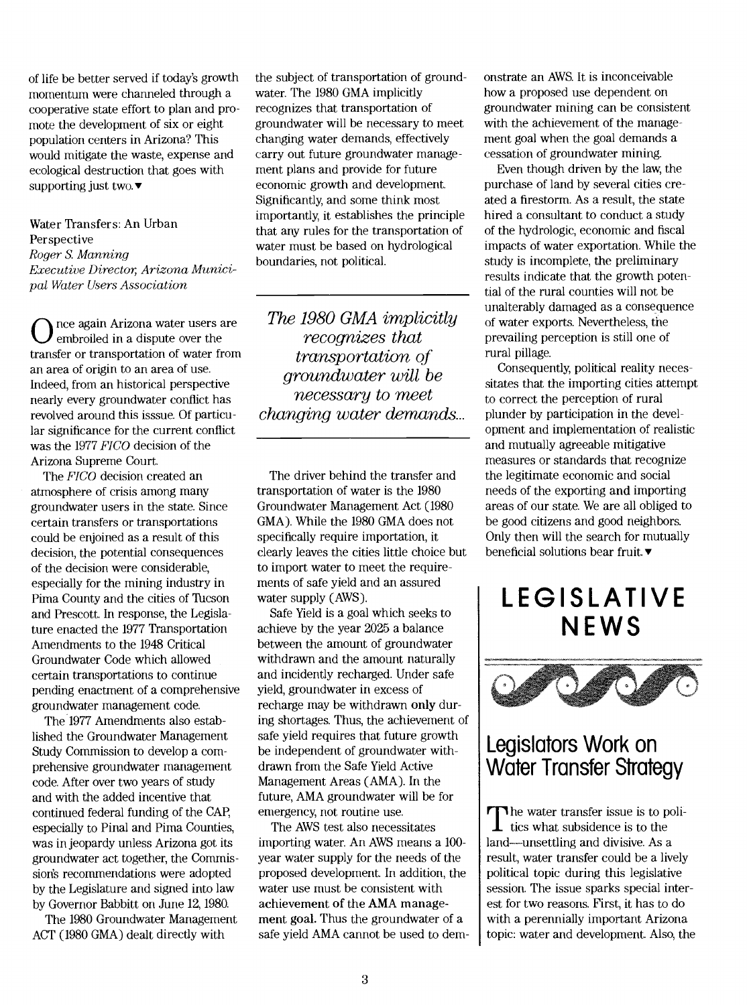of life be better served if today's growth momentum were channeled through a cooperative state effort to plan and promote the development of six or eight population centers in Arizona? This would mitigate the waste, expense and ecological destruction that goes with supporting just two. $\blacktriangledown$ 

#### Water Transfers: An Urban Perspective Roger S. Manning Executive Director Arizona Municipal Water Users Association

 $\bigcup$  embroiled in a dispute over the again Arizona water users are transfer or transportation of water from transportation of an area of origin to an area of use. Indeed, from an historical perspective nearly every groundwater conflict has revolved around this isssue. Of particular significance for the current conflict was the 1977 FICO decision of the Arizona Supreme Court.

The FICO decision created an atmosphere of crisis among many groundwater users in the state. Since certain transfers or transportations could be enjoined as a result of this decision, the potential consequences of the decision were considerable, especially for the mining industry in Pima County and the cities of Thcson and Prescott. In response, the Legislature enacted the 1977 Transportation Amendments to the 1948 Critical Groundwater Code which allowed certain transportations to continue pending enactment of a comprehensive groundwater management code.

The 1977 Amendments also established the Groundwater Management Study Commission to develop a comprehensive groundwater management code. After over two years of study and with the added incentive that continued federal funding of the CAI especially to Pinal and Pima Counties, was in jeopardy unless Arizona got its groundwater act together, the Commission's recommendations were adopted by the Legislature and signed into law by Governor Babbitt on June 12, 1980.

The 1980 Groundwater Management ACT (1980 GMA) dealt directly with

the subject of transportation of groundwater. The 1980 GMA implicitly recognizes that transportation of groundwater will be necessary to meet changing water demands, effectively carry out future groundwater management plans and provide for future economic growth and development. Significantly, and some think most importantly, it establishes the principle that any rules for the transportation of water must be based on hydrological boundaries, not political.

The 1980 GMA implicitly recognizes that qroundwater will be necessary to meet changing water demands...

The driver behind the transfer and transportation of water is the 1980 Groundwater Management Act (1980 GMA). While the 1980 GMA does not specifically require importation, it clearly leaves the cities little choice but to import water to meet the requirements of safe yield and an assured water supply (AWS).

Safe Yield is a goal which seeks to achieve by the year 2025 a balance between the amount of groundwater withdrawn and the amount naturally and incidently recharged. Under safe yield, groundwater in excess of recharge may be withdrawn only during shortages. Thus, the achievement of safe yield requires that future growth be independent of groundwater withdrawn from the Safe Yield Active Management Areas (AMA). In the future, AMA groundwater will be for emergency, not routine use.

The AWS test also necessitates importing water. An AWS means a 100 year water supply for the needs of the proposed development. In addition, the water use must be consistent with achievement of the AMA management goal. Thus the groundwater of a safe yield AMA cannot be used to demonstrate an AWS. It is inconceivable how a proposed use dependent on groundwater mining can be consistent with the achievement of the management goal when the goal demands a cessation of groundwater mining.

Even though driven by the law, the purchase of land by several cities created a firestorm. As a result, the state hired a consultant to conduct a study of the hydrologic, economic and fiscal impacts of water exportation. While the study is incomplete, the preliminary results indicate that the growth potential of the rural counties will not be unalterably damaged as a consequence of water exports. Nevertheless, the prevailing perception is still one of rural pillage.

Consequently, political reality necessitates that the importing cities attempt to correct the perception of rural plunder by participation in the development and implementation of realistic and mutually agreeable mitigative measures or standards that recognize the legitimate economic and social needs of the exporting and importing areas of our state. We are all obliged to be good citizens and good neighbors. Only then will the search for mutually beneficial solutions bear fruit. $\blacktriangledown$ 

# LEGISLATIVE **NEWS**



### Legislators Work on Water Transfer Strategy

The water transfer issue is to poli- $\mathbf 1$  tics what subsidence is to the land—unsettling and divisive. As a result, water transfer could be a lively political topic during this legislative session. The issue sparks special interest for two reasons. First, it has to do with a perennially important Arizona topic: water and development. Also, the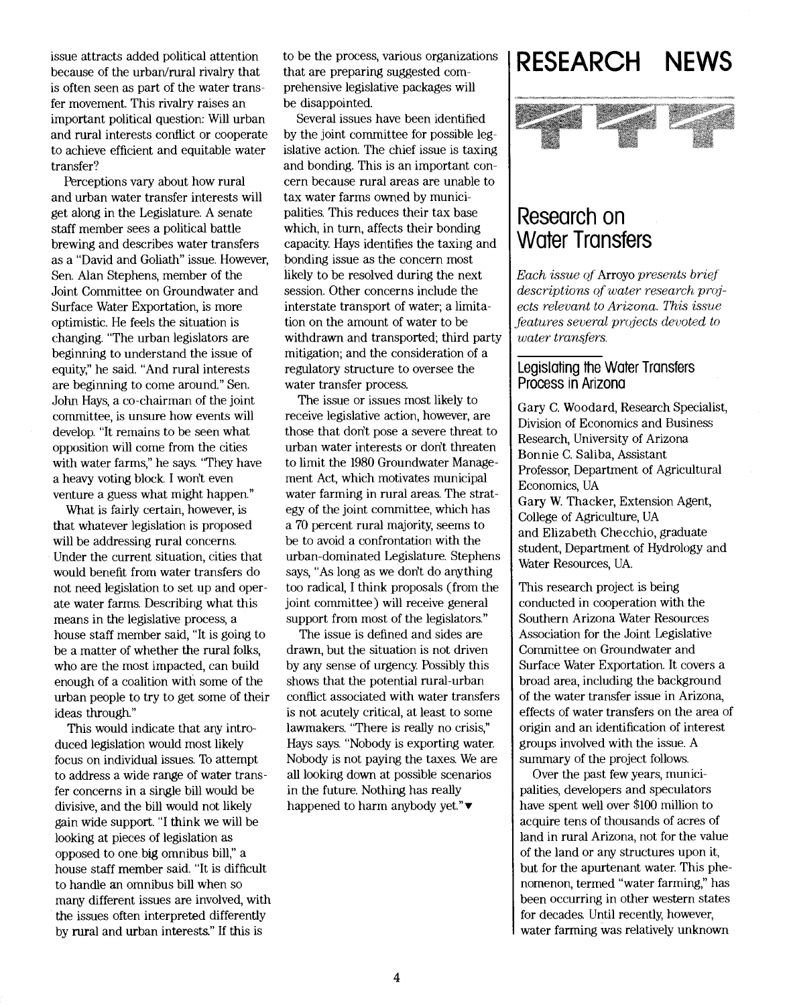issue attracts added political attention because of the urban/rural rivalry that is often seen as part of the water transfer movement. This rivalry raises an important political question: Will urban and rural interests conflict or cooperate to achieve efficient and equitable water transfer?

Perceptions vary about how rural and urban water transfer interests will get along in the Legislature. A senate staff member sees a political battle brewing and describes water transfers as a "David and Goliath" issue. However, Sen. Alan Stephens, member of the Joint Committee on Groundwater and Surface Water Exportation, is more optimistic. He feels the situation is changing. "The urban legislators are beginning to understand the issue of equity," he said. "And rural interests are beginning to come around." Sen. John Hays, a co-chairman of the joint committee, is unsure how events will develop. "It remains to be seen what opposition will come from the cities with water farms," he says. "They have a heavy voting block I won't even venture a guess what might happen."

What is fairly certain, however, is that whatever legislation is proposed will be addressing rural concerns. Under the current situation, cities that would benefit from water transfers do not need legislation to set up and operate water farms. Describing what this means in the legislative process, a house staff member said, "It is going to be a matter of whether the rural folks, who are the most impacted, can build enough of a coalition with some of the urban people to try to get some of their ideas through."

This would indicate that any introduced legislation would most likely focus on individual issues. To attempt to address a wide range of water transfer concerns in a single bill would be divisive, and the bill would not likely gain wide support. "I think we will be looking at pieces of legislation as opposed to one big omnibus bill," a house staff member said. "It is difficult to handle an omnibus bill when so many different issues are involved, with the issues often interpreted differently by rural and urban interests." If this is

to be the process, various organizations that are preparing suggested comprehensive legislative packages will be disappointed.

Several issues have been identified by the joint committee for possible legislative action. The chief issue is taxing and bonding. This is an important concern because rural areas are unable to tax water farms owned by municipalities. This reduces their tax base which, in turn, affects their bonding capacity. Hays identifies the taxing and bonding issue as the concern most likely to be resolved during the next session. Other concerns include the interstate transport of water; a limitation on the amount of water to be withdrawn and transported; third party mitigation; and the consideration of a regulatory structure to oversee the water transfer process.

The issue or issues most likely to receive legislative action, however, are those that dont pose a severe threat to urban water interests or don't threaten to limit the 1980 Groundwater Management Act, which motivates municipal water farming in rural areas. The strategy of the joint committee, which has a 70 percent rural majority, seems to be to avoid a confrontation with the urban-dominated Legislature. Stephens says, "As long as we don't do anything too radical, I think proposals (from the joint committee) will receive general support from most of the legislators."

The issue is defined and sides are drawn, but the situation is not driven by any sense of urgency. Possibly this shows that the potential rural-urban conflict associated with water transfers is not acutely critical, at least to some lawmakers. "There is really no crisis," Hays says. "Nobody is exporting water. Nobody is not paying the taxes. We are all looking down at possible scenarios in the future. Nothing has really happened to harm anybody yet." $\blacktriangledown$ 

# RESEARCH NEWS



### Research on Water Transfers

Each issue of Arroyo presents brief descriptions of water research projects relevant to Arizona. This issue features several projects devoted to water transfers.

### Legistating the Water Transfers Process in Arizona

Gary C. Woodard, Research Specialist, Division of Economics and Business Research, University of Arizona Bonnie C. Saliba, Assistant Professor, Department of Agricultural Economics, UA Gary W. Thacker, Extension Agent, College of Agriculture, UA and Elizabeth Checchio, graduate student, Department of Hydrology and Water Resources, UA.

This research project is being conducted in cooperation with the Southern Arizona Water Resources Association for the Joint Legislative Committee on Groundwater and Surface Water Exportation. It covers a broad area, including the background of the water transfer issue in Arizona, effects of water transfers on the area of origin and an identification of interest groups involved with the issue. A summary of the project follows.

Over the past few years, municipalities, developers and speculators have spent well over \$100 million to acquire tens of thousands of acres of land in rural Arizona, not for the value of the land or any structures upon it, but for the apurtenant water. This phenomenon, termed "water farming," has been occurring in other western states for decades. Until recently, however, water farming was relatively unknown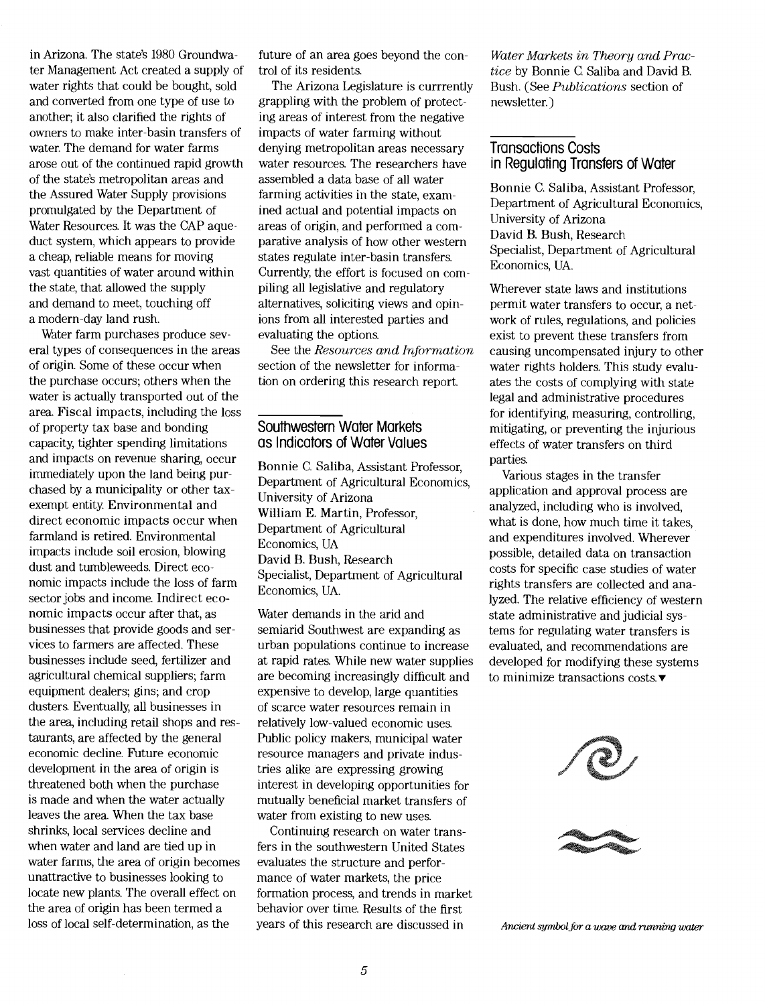in Arizona. The state's 1980 Groundwater Management Act created a supply of water rights that could be bought, sold and converted from one type of use to another; it also clarified the rights of owners to make inter-basin transfers of water. The demand for water farms arose out of the continued rapid growth of the state's metropolitan areas and the Assured Water Supply provisions promulgated by the Department of Water Resources. It was the CAP aqueduct system, which appears to provide a cheap, reliable means for moving vast quantities of water around within the state, that allowed the supply and demand to meet, touching off a modern-day land rush.

Water farm purchases produce several types of consequences in the areas of origin. Some of these occur when the purchase occurs; others when the water is actually transported out of the area. Fiscal impacts, including the loss of property tax base and bonding capacity, tighter spending limitations and impacts on revenue sharing, occur immediately upon the land being purchased by a municipality or other taxexempt entity. Environmental and direct economic impacts occur when farmland is retired. Environmental impacts include soil erosion, blowing dust and tumbleweeds. Direct economic impacts include the loss of farm sector jobs and income. Indirect economic impacts occur after that, as businesses that provide goods and services to farmers are affected. These businesses include seed, fertilizer and agricultural chemical suppliers; farm equipment dealers; gins; and crop dusters. Eventually, all businesses in the area, including retail shops and restaurants, are affected by the general economic decline. Future economic development in the area of origin is threatened both when the purchase is made and when the water actually leaves the area When the tax base shrinks, local services decline and when water and land are tied up in water farms, the area of origin becomes unattractive to businesses looking to locate new plants. The overall effect on the area of origin has been termed a loss of local self-determination, as the

future of an area goes beyond the control of its residents.

The Arizona Legislature is currrently grappling with the problem of protecting areas of interest from the negative impacts of water farming without denying metropolitan areas necessary water resources. The researchers have assembled a data base of all water farming activities in the state, examined actual and potential impacts on areas of origin, and performed a comparative analysis of how other western states regulate inter-basin transfers. Currently, the effort is focused on compiling all legislative and regulatory alternatives, soliciting views and opinions from all interested parties and evaluating the options.

See the Resources and Information section of the newsletter for information on ordering this research report.

#### Southwestern Water Markets as Indicators of Water Values

Bonnie C. Saliba, Assistant Professor, Department of Agricultural Economics, University of Arizona William E. Martin, Professor, Department of Agricultural Economics, UA David B. Bush, Research Specialist, Department of Agricultural Economics, UA.

Water demands in the arid and semiarid Southwest are expanding as urban populations continue to increase at rapid rates. While new water supplies are becoming increasingly difficult and expensive to develop, large quantities of scarce water resources remain in relatively low-valued economic uses. Public policy makers, municipal water resource managers and private industries alike are expressing growing interest in developing opportunities for mutually beneficial market transfers of water from existing to new uses.

Continuing research on water transfers in the southwestern United States evaluates the structure and performance of water markets, the price formation process, and trends in market behavior over time. Results of the first years of this research are discussed in

Water Markets in Theory and Practice by Bonnie C Saliba and David B. Bush. (See Publications section of newsletter.)

#### Transactions Costs in Regulating Transfers of Water

Bonnie C. Saliba, Assistant Professor Department of Agricultural Economics, University of Arizona David B. Bush, Research Specialist, Department of Agricultural Economics, UA.

Wherever state laws and institutions permit water transfers to occur, a network of rules, regulations, and policies exist to prevent these transfers from causing uncompensated injury to other water rights holders. This study evaluates the costs of complying with state legal and administrative procedures for identifying, measuring, controlling, mitigating, or preventing the injurious effects of water transfers on third parties.

Various stages in the transfer application and approval process are analyzed, including who is involved, what is done, how much time it takes, and expenditures involved. Wherever possible, detailed data on transaction costs for specific case studies of water rights transfers are collected and analyzed. The relative efficiency of western state administrative and judicial systems for regulating water transfers is evaluated, and recommendations are developed for modifying these systems to minimize transactions costs. $\blacktriangledown$ 



Ancient symbol for a wave and running water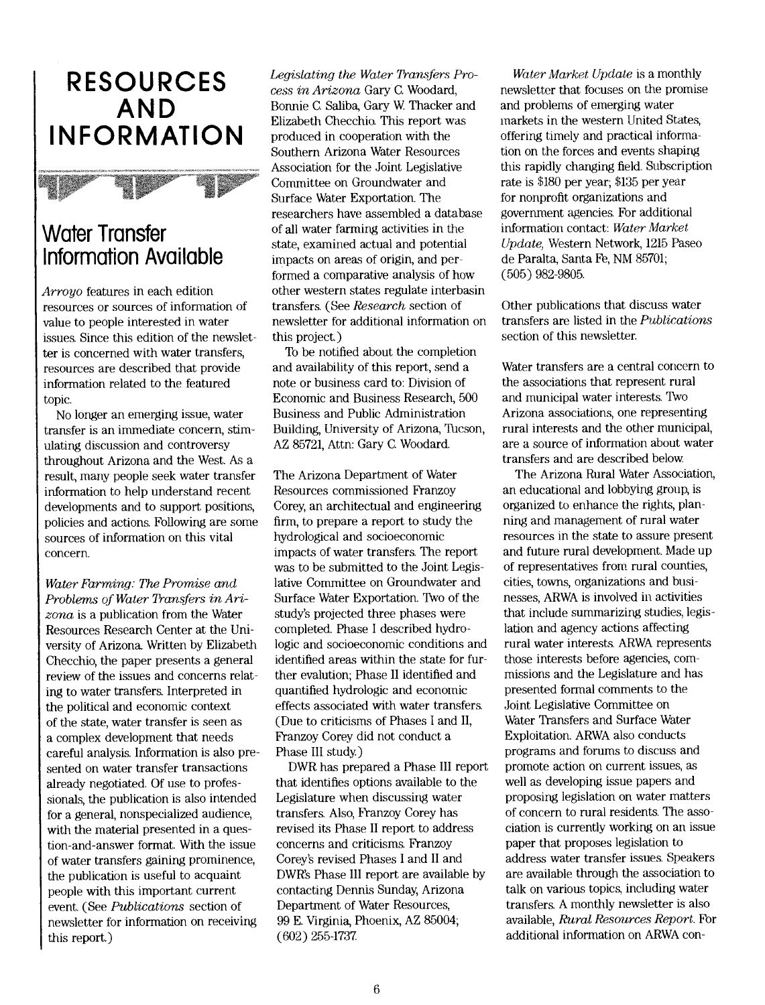# RESOURCES AND **INFORMATION**



### Water Transfer Information Available

Arroyo features in each edition resources or sources of information of value to people interested in water issues. Since this edition of the newsletter is concerned with water transfers, resources are described that provide information related to the featured topic.

No longer an emerging issue, water transfer is an immediate concern, stimulating discussion and controversy throughout Arizona and the West. As a result, many people seek water transfer information to help understand recent developments and to support positions, policies and actions. Following are some sources of information on this vital concern.

Water Farming: The Promise and Problems of Water Transfers in Arizona is a publication from the Water Resources Research Center at the University of Arizona Written by Elizabeth Checchio, the paper presents a general review of the issues and concerns relating to water transfers. Interpreted in the political and economic context of the state, water transfer is seen as a complex development that needs careful analysis. Information is also presented on water transfer transactions already negotiated. Of use to professionals, the publication is also intended for a general, nonspecialized audience, with the material presented in a question-and-answer format. With the issue of water transfers gaining prominence, the publication is useful to acquaint people with this important current event. (See Publications section of newsletter for information on receiving this report)

Legislating the Water Transfers Process in Arizona Gary C. Woodard, Bonnie C. Saliba, Gary W. Thacker and Elizabeth Checchio. This report was produced in cooperation with the Southern Arizona Water Resources Association for the Joint Legislative Committee on Groundwater and Surface Water Exportation. The researchers have assembled a database of all water farming activities in the state, examined actual and potential impacts on areas of origin, and performed a comparative analysis of how other western states regulate interbasin transfers. (See Research section of newsletter for additional information on this project.)

To be notified about the completion and availability of this report, send a note or business card to: Division of Economic and Business Research, 500 Business and Public Administration Building, University of Arizona, Thcson, AZ 85721, Attn: Gary C. Woodard.

The Arizona Department of Water Resources commissioned Franzoy Corey, an architectual and engineering firm, to prepare a report to study the hydrological and socioeconomic impacts of water transfers. The report was to be submitted to the Joint Legislative Committee on Groundwater and Surface Water Exportation. Two of the study's projected three phases were completed. Phase I described hydrologic and socioeconomic conditions and identified areas within the state for further evalution; Phase II identified and quantified hydrologic and economic effects associated with water transfers. (Due to criticisms of Phases I and II, Franzoy Corey did not conduct a Phase III study)

DWR has prepared a Phase III report that identifies options available to the Legislature when discussing water transfers. Also, Franzoy Corey has revised its Phase II report to address concerns and criticisms. Franzoy Corey's revised Phases I and II and DWR's Phase III report are available by contacting Dennis Sunday, Arizona Department of Water Resources, 99 E. Virginia, Phoenix, AZ 85004; (602) 255-1737.

Water Market Update is a monthly newsletter that focuses on the promise and problems of emerging water markets in the western United States, offering timely and practical information on the forces and events shaping this rapidly changing field. Subscription rate is \$180 per year; \$135 per year for nonprofit organizations and government agencies. For additional information contact: Water Market  $Update$ , Western Network, 1215 Paseo de Paralta, Santa Fe, NM 85701; (505) 982-9805.

Other publications that discuss water transfers are listed in the Publications section of this newsletter.

Water transfers are a central concern to the associations that represent rural and municipal water interests. Two Arizona associations, one representing rural interests and the other municipal, are a source of information about water transfers and are described below.

The Arizona Rural Water Association, an educational and lobbying group, is organized to enhance the rights, planning and management of rural water resources in the state to assure present and future rural development. Made up of representatives from rural counties, cities, towns, organizations and businesses, ARWA is involved in activities that include summarizing studies, legislation and agency actions affecting rural water interests. ARWA represents those interests before agencies, commissions and the Legislature and has presented formal comments to the Joint Legislative Committee on Water Transfers and Surface Water Exploitation. ARWA also conducts programs and forums to discuss and promote action on current issues, as well as developing issue papers and proposing legislation on water matters of concern to rural residents. The association is currently working on an issue paper that proposes legislation to address water transfer issues. Speakers are available through the association to talk on various topics, including water transfers. A monthly newsletter is also available, Rural Resources Report. For additional information on ARWA con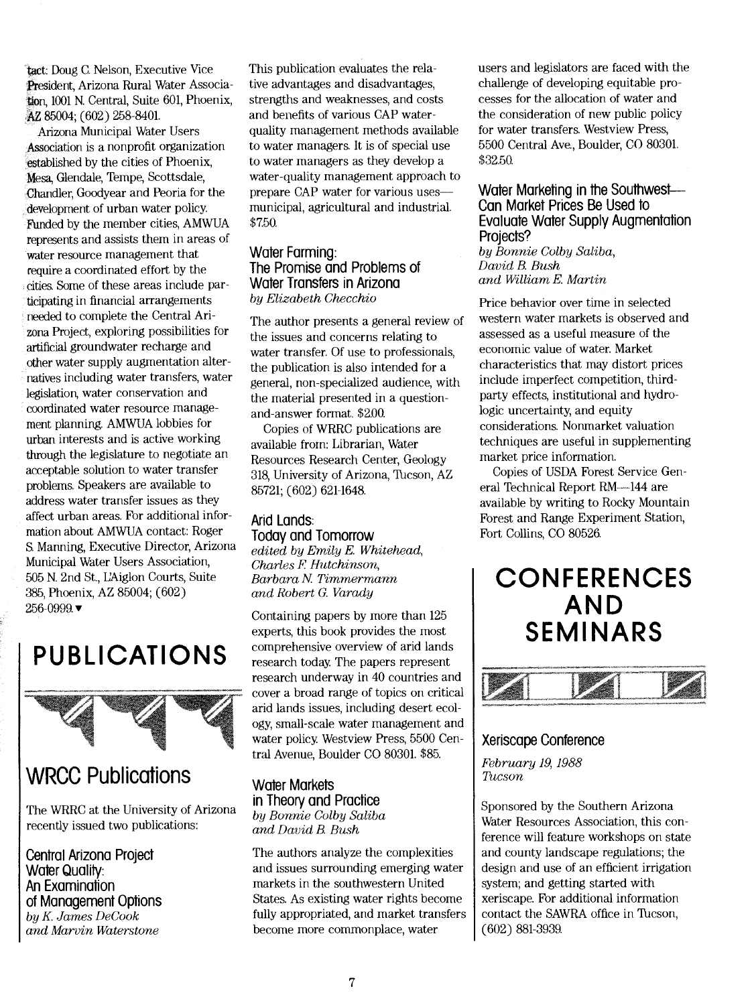tact: Doug C Nelson, Executive Vice President, Arizona Rural Water Association, 1001 N. Central, Suite 601, Phoenix, AZ 85004; (602) 258-8401.

Arizona Municipal Water Users Association is a nonprofit organization established by the cities of Phoenix, Mesa, Glendale, Tempe, Scottsdale, Chandler, Goodyear and Peoria for the development of urban water policy. Funded by the member cities, AMWUA represents and assists them in areas of water resource management that require a coordinated effort by the cities. Some of these areas include participating in financial arrangements needed to complete the Central Arizona Project, exploring possibilities for artificial groundwater recharge and other water supply augmentation alternatives including water transfers, water legislation; water conservation and coordinated water resource management planning. AMWUA lobbies for urban interests and is active working through the legislature to negotiate an acceptable solution to water transfer problems. Speakers are available to address water transfer issues as they affect urban areas. For additional information about AMWUA contact: Roger S. Manning, Executive Director, Arizona Municipal Water Users Association, 505 N. 2nd St., UAiglon Courts, Suite 385, Phoenix, AZ 85004; (602)  $256 - 0999$ .

# PUBLICATIONS



### WRCC Publications

The WRRC at the University of Arizona recently issued two publications:

Central Arizona Project **Water Quality:** An Examination of Management Options by K. James DeCook and Marvin Waterstone

This publication evaluates the relative advantages and disadvantages, strengths and weaknesses, and costs and benefits of various CAP waterquality management methods available to water managers. It is of special use to water managers as they develop a water-quality management approach to prepare CAP water for various uses municipal, agricultural and industrial. \$7.50.

### Water Farming: The Promise and Problems of Water Transfers in Arizona by Elizabeth Checchio

The author presents a general review of the issues and concerns relating to water transfer. Of use to professionals, the publication is also intended for a general, non-specialized audience, with the material presented in a questionand-answer format. \$2.00.

Copies of WRRC publications are available from: Librarian, Water Resources Research Center, Geology 318, University of Arizona, Tucson, AZ 85721; (602) 621-164&

### Arid Lands: Today and Tomorrow

edited by Emily E. Whitehead, Charles F. Hutchinson, Barbara N Timmermann and Robert G. Varady

Containing papers by more than 125 experts, this book provides the most comprehensive overview of arid lands research today. The papers represent research underway in 40 countries and cover a broad range of topics on critical arid lands issues, including desert ecology, small-scale water management and water policy. Westview Press, 5500 Central Avenue, Boulder CO 80301. \$85.

Water Markets in Theory and Practice by Bonnie Colby Saliba and David B Bush

The authors analyze the complexities and issues surrounding emerging water markets in the southwestern United States. As existing water rights become fully appropriated, and market transfers become more commonplace, water

users and legislators are faced with the challenge of developing equitable processes for the allocation of water and the consideration of new public policy for water transfers. Westview Press, 5500 Central Ave., Boulder, CO 80301. \$32.50.

### Water Marketing in the Southwest-Can Market Prices Be Used fo Evaluate Water Supply Augmentation Projects?

by Bonnie Colby Saliba, David B. Bush and William E. Martin

Price behavior over time in selected western water markets is observed and assessed as a useful measure of the economic value of water. Market characteristics that may distort prices include imperfect competition, thirdparty effects, institutional and hydrologic uncertainty, and equity considerations. Nonmarket valuation techniques are useful in supplementing market price information.

Copies of USDA Forest Service General Technical Report RM-144 are available by writing to Rocky Mountain Forest and Range Experiment Station, Fort Collins, CO 80526.

## **CONFERENCES** AND SEMINARS



### Xeriscape Conference

February 19, 1988 Tucson

Sponsored by the Southern Arizona Water Resources Association, this conference will feature workshops on state and county landscape regulations; the design and use of an efficient irrigation system; and getting started with xeriscape. For additional information contact the SAWRA office in Thcson, (602) 881-3939.